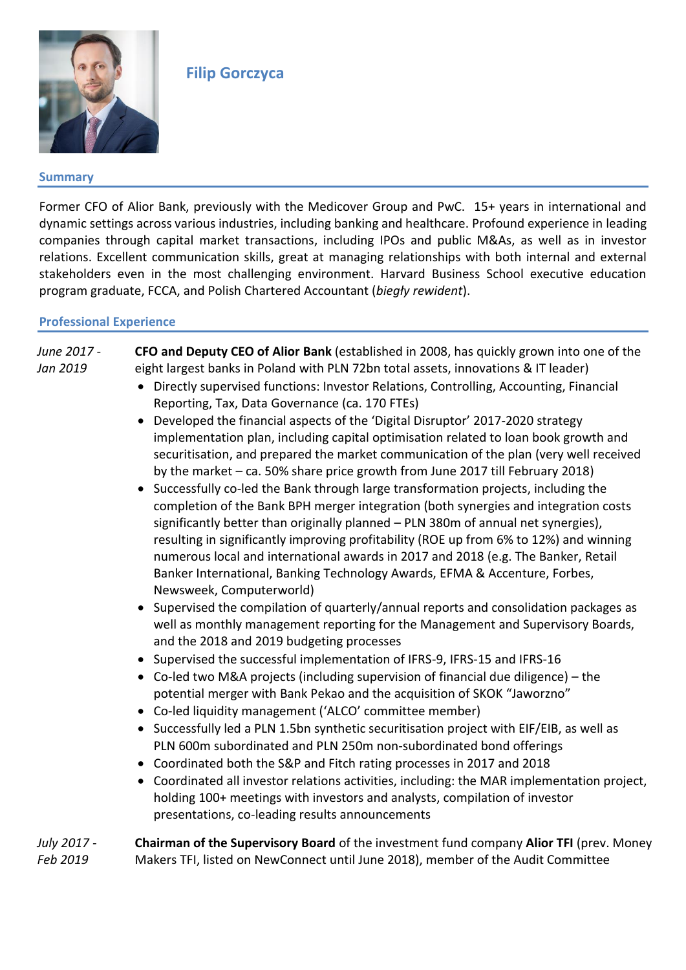

# **Filip Gorczyca**

### **Summary**

Former CFO of Alior Bank, previously with the Medicover Group and PwC. 15+ years in international and dynamic settings across various industries, including banking and healthcare. Profound experience in leading companies through capital market transactions, including IPOs and public M&As, as well as in investor relations. Excellent communication skills, great at managing relationships with both internal and external stakeholders even in the most challenging environment. Harvard Business School executive education program graduate, FCCA, and Polish Chartered Accountant (*biegły rewident*).

### **Professional Experience**

### *June 2017 - Jan 2019* **CFO and Deputy CEO of Alior Bank** (established in 2008, has quickly grown into one of the eight largest banks in Poland with PLN 72bn total assets, innovations & IT leader) • Directly supervised functions: Investor Relations, Controlling, Accounting, Financial Reporting, Tax, Data Governance (ca. 170 FTEs)

- Developed the financial aspects of the 'Digital Disruptor' 2017-2020 strategy implementation plan, including capital optimisation related to loan book growth and securitisation, and prepared the market communication of the plan (very well received by the market – ca. 50% share price growth from June 2017 till February 2018)
- Successfully co-led the Bank through large transformation projects, including the completion of the Bank BPH merger integration (both synergies and integration costs significantly better than originally planned – PLN 380m of annual net synergies), resulting in significantly improving profitability (ROE up from 6% to 12%) and winning numerous local and international awards in 2017 and 2018 (e.g. The Banker, Retail Banker International, Banking Technology Awards, EFMA & Accenture, Forbes, Newsweek, Computerworld)
- Supervised the compilation of quarterly/annual reports and consolidation packages as well as monthly management reporting for the Management and Supervisory Boards, and the 2018 and 2019 budgeting processes
- Supervised the successful implementation of IFRS-9, IFRS-15 and IFRS-16
- Co-led two M&A projects (including supervision of financial due diligence) the potential merger with Bank Pekao and the acquisition of SKOK "Jaworzno"
- Co-led liquidity management ('ALCO' committee member)
- Successfully led a PLN 1.5bn synthetic securitisation project with EIF/EIB, as well as PLN 600m subordinated and PLN 250m non-subordinated bond offerings
- Coordinated both the S&P and Fitch rating processes in 2017 and 2018
- Coordinated all investor relations activities, including: the MAR implementation project, holding 100+ meetings with investors and analysts, compilation of investor presentations, co-leading results announcements

| July 2017 - | <b>Chairman of the Supervisory Board</b> of the investment fund company Alior TFI (prev. Money |
|-------------|------------------------------------------------------------------------------------------------|
| Feb 2019    | Makers TFI, listed on NewConnect until June 2018), member of the Audit Committee               |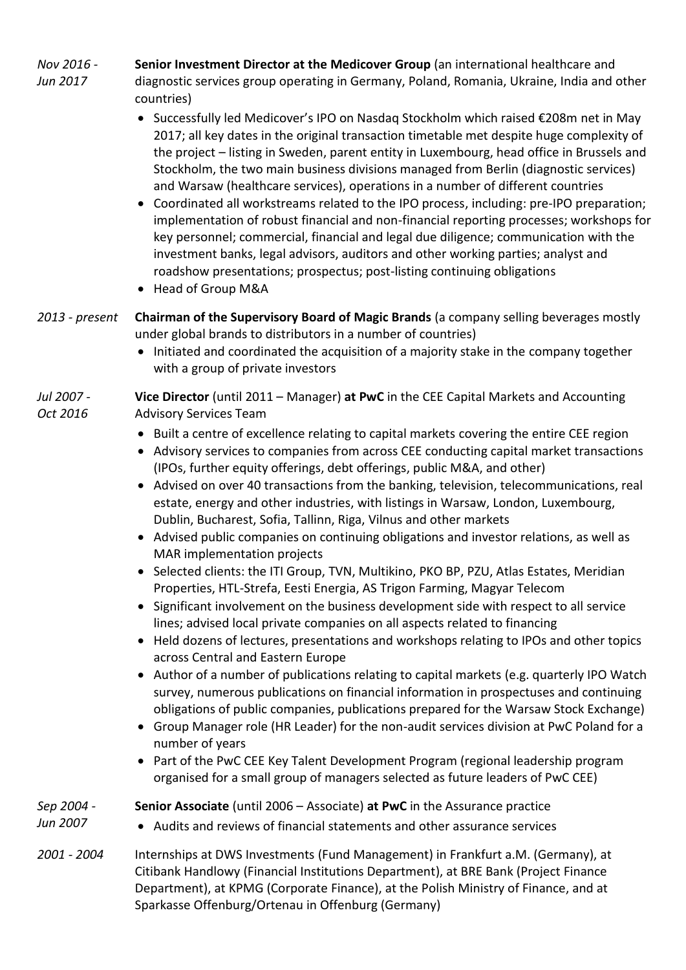*Nov 2016 - Jun 2017* **Senior Investment Director at the Medicover Group** (an international healthcare and diagnostic services group operating in Germany, Poland, Romania, Ukraine, India and other countries)

- Successfully led Medicover's IPO on Nasdaq Stockholm which raised €208m net in May 2017; all key dates in the original transaction timetable met despite huge complexity of the project – listing in Sweden, parent entity in Luxembourg, head office in Brussels and Stockholm, the two main business divisions managed from Berlin (diagnostic services) and Warsaw (healthcare services), operations in a number of different countries
- Coordinated all workstreams related to the IPO process, including: pre-IPO preparation; implementation of robust financial and non-financial reporting processes; workshops for key personnel; commercial, financial and legal due diligence; communication with the investment banks, legal advisors, auditors and other working parties; analyst and roadshow presentations; prospectus; post-listing continuing obligations
- Head of Group M&A
- *2013 - present* **Chairman of the Supervisory Board of Magic Brands** (a company selling beverages mostly under global brands to distributors in a number of countries)
	- Initiated and coordinated the acquisition of a majority stake in the company together with a group of private investors

#### *Jul 2007 - Oct 2016* **Vice Director** (until 2011 – Manager) **at PwC** in the CEE Capital Markets and Accounting Advisory Services Team

- Built a centre of excellence relating to capital markets covering the entire CEE region
- Advisory services to companies from across CEE conducting capital market transactions (IPOs, further equity offerings, debt offerings, public M&A, and other)
- Advised on over 40 transactions from the banking, television, telecommunications, real estate, energy and other industries, with listings in Warsaw, London, Luxembourg, Dublin, Bucharest, Sofia, Tallinn, Riga, Vilnus and other markets
- Advised public companies on continuing obligations and investor relations, as well as MAR implementation projects
- Selected clients: the ITI Group, TVN, Multikino, PKO BP, PZU, Atlas Estates, Meridian Properties, HTL-Strefa, Eesti Energia, AS Trigon Farming, Magyar Telecom
- Significant involvement on the business development side with respect to all service lines; advised local private companies on all aspects related to financing
- Held dozens of lectures, presentations and workshops relating to IPOs and other topics across Central and Eastern Europe
- Author of a number of publications relating to capital markets (e.g. quarterly IPO Watch survey, numerous publications on financial information in prospectuses and continuing obligations of public companies, publications prepared for the Warsaw Stock Exchange)
- Group Manager role (HR Leader) for the non-audit services division at PwC Poland for a number of years
- Part of the PwC CEE Key Talent Development Program (regional leadership program organised for a small group of managers selected as future leaders of PwC CEE)

| Sep 2004 -  | Senior Associate (until 2006 – Associate) at PwC in the Assurance practice                                                                                                                                                                                     |
|-------------|----------------------------------------------------------------------------------------------------------------------------------------------------------------------------------------------------------------------------------------------------------------|
| Jun 2007    | • Audits and reviews of financial statements and other assurance services                                                                                                                                                                                      |
| 2001 - 2004 | Internships at DWS Investments (Fund Management) in Frankfurt a.M. (Germany), at<br>Citibank Handlowy (Financial Institutions Department), at BRE Bank (Project Finance<br>Department), at KPMG (Corporate Finance), at the Polish Ministry of Finance, and at |

Sparkasse Offenburg/Ortenau in Offenburg (Germany)